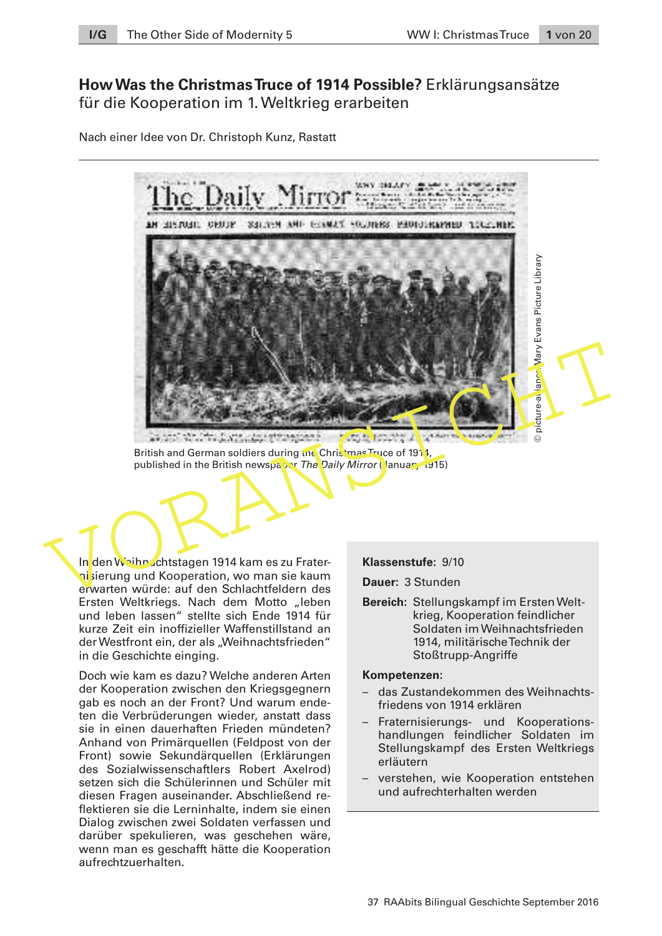# **How Was the Christmas Truce of 1914 Possible?** Erklärungsansätze für die Kooperation im 1. Weltkrieg erarbeiten

Nach einer Idee von Dr. Christoph Kunz, Rastatt



British and German soldiers during the Christmas Truce of 1914, published in the British newspaper The Daily Mirror (January 1915)

In den Weihnachtstagen 1914 kam es zu Fraterni sierung und Kooperation, wo man sie kaum erwarten würde: auf den Schlachtfeldern des Ersten Weltkriegs. Nach dem Motto "leben und leben lassen" stellte sich Ende 1914 für kurze Zeit ein inoffizieller Waffenstillstand an der Westfront ein, der als "Weihnachtsfrieden" in die Geschichte einging.

Doch wie kam es dazu? Welche anderen Arten der Kooperation zwischen den Kriegsgegnern gab es noch an der Front? Und warum endeten die Verbrüderungen wieder, anstatt dass sie in einen dauerhaften Frieden mündeten? Anhand von Primärquellen (Feldpost von der Front) sowie Sekundärquellen (Erklärungen des Sozialwissenschaftlers Robert Axelrod) setzen sich die Schülerinnen und Schüler mit diesen Fragen auseinander. Abschließend reflektieren sie die Lerninhalte, indem sie einen Dialog zwischen zwei Soldaten verfassen und darüber spekulieren, was geschehen wäre, wenn man es geschafft hätte die Kooperation aufrechtzuerhalten.

**Klassenstufe:** 9/10

**Dauer:** 3 Stunden

**Bereich:** Stellungskampf im Ersten Weltkrieg, Kooperation feindlicher Soldaten im Weihnachtsfrieden 1914, militärische Technik der Stoßtrupp-Angriffe

#### **Kompetenzen:**

- das Zustandekommen des Weihnachtsfriedens von 1914 erklären
- Fraternisierungs- und Kooperationshandlungen feindlicher Soldaten im Stellungskampf des Ersten Weltkriegs erläutern
- verstehen, wie Kooperation entstehen und aufrechterhalten werden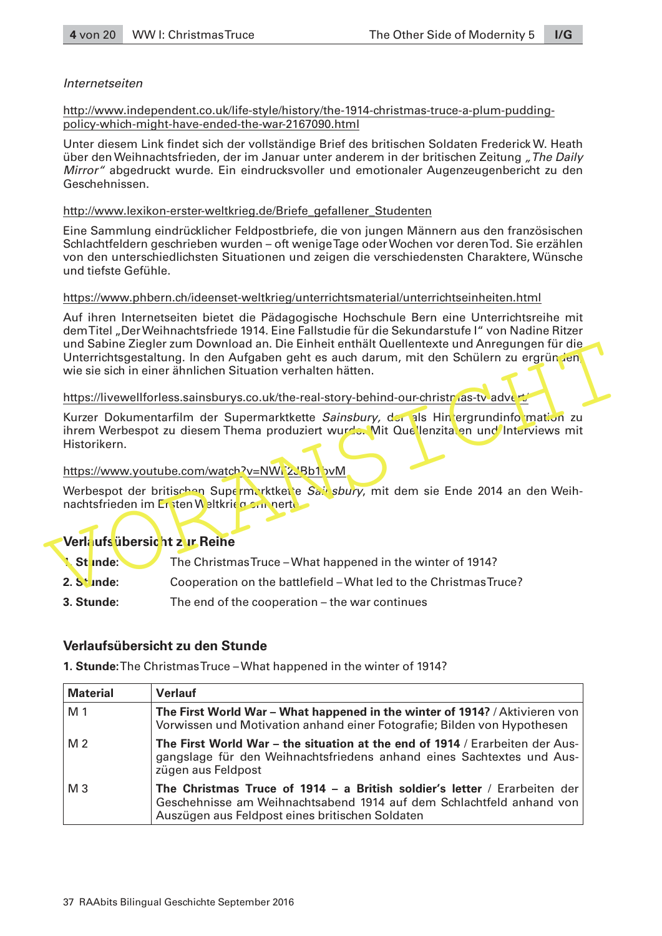# Internetseiten

[http://www.independent.co.uk/life-style/history/the-1914-christmas-truce-a-plum-pudding](http://www.independent.co.uk/life-style/history/the-1914-christmas-truce-a-plum-pudding-policy-which-might-have-ended-the-war-2167090.html)[policy-which-might-have-ended-the-war-2167090.html](http://www.independent.co.uk/life-style/history/the-1914-christmas-truce-a-plum-pudding-policy-which-might-have-ended-the-war-2167090.html)

Unter diesem Link findet sich der vollständige Brief des britischen Soldaten Frederick W. Heath über den Weihnachtsfrieden, der im Januar unter anderem in der britischen Zeitung "The Daily Mirror" abgedruckt wurde. Ein eindrucksvoller und emotionaler Augenzeugenbericht zu den Geschehnissen.

# [http://www.lexikon-erster-weltkrieg.de/Briefe\\_gefallener\\_Studenten](http://www.lexikon-erster-weltkrieg.de/Briefe_gefallener_Studenten)

Eine Sammlung eindrücklicher Feldpostbriefe, die von jungen Männern aus den französischen Schlachtfeldern geschrieben wurden – oft wenige Tage oder Wochen vor deren Tod. Sie erzählen von den unterschiedlichsten Situationen und zeigen die verschiedensten Charaktere, Wünsche und tiefste Gefühle.

## <https://www.phbern.ch/ideenset-weltkrieg/unterrichtsmaterial/unterrichtseinheiten.html>

Auf ihren Internetseiten bietet die Pädagogische Hochschule Bern eine Unterrichtsreihe mit dem Titel "Der Weihnachtsfriede 1914. Eine Fallstudie für die Sekundarstufe I" von Nadine Ritzer und Sabine Ziegler zum Download an. Die Einheit enthält Quellentexte und Anregungen für die Unterrichtsgestaltung. In den Aufgaben geht es auch darum, mit den Schülern zu ergründen wie sie sich in einer ähnlichen Situation verhalten hätten.

## https://livewellforless.sainsburys.co.uk/the-real-story-behind-our-christmas-tv-advert/

Unterrichtsgestaltung. In den Aufgaben geht es auch darum, mit den Schülern zu ergründen<br>
Wer sie sich in einer ähnlichen Situation verhalten hätten.<br>
Mitters://livewellforless.sainsburys.co.uk/the-real-story-behind-our-ch Kurzer Dokumentarfilm der Supermarktkette Sainsbury, der als Hintergrundinformation zu ihrem Werbespot zu diesem Thema produziert wurde. Mit Quellenzitaten und Interviews mit Historikern.

# https://www.youtube.com/watch?v=NWF2JBb1bvM

Werbespot der britischen Supermarktkette Sainsbury, mit dem sie Ende 2014 an den Weihnachtsfrieden im Ersten Weltkrieg can nerte

# **Verlaufsübersicht zur Reihe**

| Stinde: | The Christmas Truce – What happened in the winter of 1914? |
|---------|------------------------------------------------------------|
|         |                                                            |

- **2. Stunde:** Cooperation on the battlefield What led to the Christmas Truce?
- **3. Stunde:** The end of the cooperation the war continues

# **Verlaufsübersicht zu den Stunde**

**1. Stunde:** The Christmas Truce – What happened in the winter of 1914?

| <b>Material</b> | <b>Verlauf</b>                                                                                                                                                                                       |
|-----------------|------------------------------------------------------------------------------------------------------------------------------------------------------------------------------------------------------|
| M 1             | The First World War – What happened in the winter of 1914? / Aktivieren von<br>Vorwissen und Motivation anhand einer Fotografie; Bilden von Hypothesen                                               |
| M <sub>2</sub>  | The First World War - the situation at the end of 1914 / Erarbeiten der Aus-<br>gangslage für den Weihnachtsfriedens anhand eines Sachtextes und Aus-<br>zügen aus Feldpost                          |
| $M_3$           | The Christmas Truce of 1914 - a British soldier's letter / Erarbeiten der<br>Geschehnisse am Weihnachtsabend 1914 auf dem Schlachtfeld anhand von<br>Auszügen aus Feldpost eines britischen Soldaten |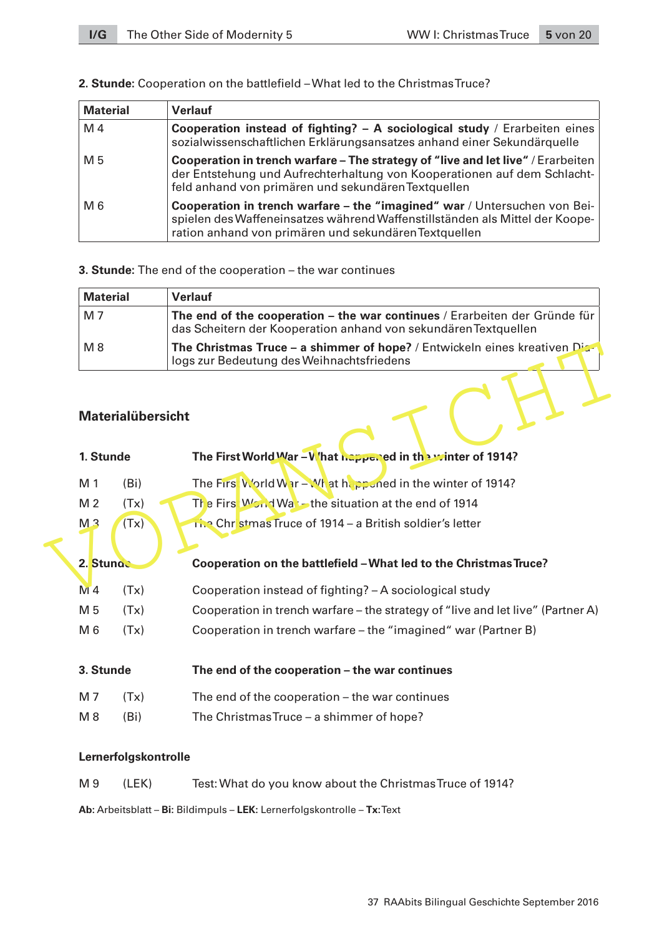| <b>Material</b> | <b>Verlauf</b>                                                                                                                                                                                                      |
|-----------------|---------------------------------------------------------------------------------------------------------------------------------------------------------------------------------------------------------------------|
| M 4             | Cooperation instead of fighting? - A sociological study / Erarbeiten eines<br>sozialwissenschaftlichen Erklärungsansatzes anhand einer Sekundärguelle                                                               |
| M 5             | Cooperation in trench warfare – The strategy of "live and let live" / Erarbeiten<br>der Entstehung und Aufrechterhaltung von Kooperationen auf dem Schlacht-<br>feld anhand von primären und sekundären Textquellen |
| M 6             | Cooperation in trench warfare – the "imagined" war / Untersuchen von Bei-<br>spielen des Waffeneinsatzes während Waffenstillständen als Mittel der Koope-<br>ration anhand von primären und sekundären Textquellen  |

# **2. Stunde:** Cooperation on the battlefield – What led to the Christmas Truce?

# **3. Stunde:** The end of the cooperation – the war continues

| <b>Material</b> | <b>Verlauf</b>                                                                                                                                |
|-----------------|-----------------------------------------------------------------------------------------------------------------------------------------------|
| M 7             | The end of the cooperation – the war continues / Erarbeiten der Gründe für<br>das Scheitern der Kooperation anhand von sekundären Textquellen |
| $M_8$           | <b>The Christmas Truce – a shimmer of hope?</b> / Entwickeln eines kreativen $\text{Di}$<br>logs zur Bedeutung des Weihnachtsfriedens         |

# **Materialübersicht**

| M 8            |                          | The Christmas Truce - a shimmer of hope? / Entwickeln eines kreativen Dia-<br>logs zur Bedeutung des Weihnachtsfriedens |  |
|----------------|--------------------------|-------------------------------------------------------------------------------------------------------------------------|--|
| 1. Stunde      | <b>Materialübersicht</b> | The First World War - V hat happened in the winter of 1914?                                                             |  |
| M 1            | (B <sub>i</sub> )        | The First World War - What happened in the winter of 1914?                                                              |  |
| M <sub>2</sub> | (Tx)                     | The First Wond Wat-the situation at the end of 1914                                                                     |  |
| M <sub>3</sub> | (Tx)                     | The Christmas Truce of 1914 - a British soldier's letter                                                                |  |
| 2. Stunge      |                          | Cooperation on the battlefield - What led to the Christmas Truce?                                                       |  |
| $NI$ 4         | (Tx)                     | Cooperation instead of fighting? - A sociological study                                                                 |  |
| M 5            | (Tx)                     | Cooperation in trench warfare – the strategy of "live and let live" (Partner A)                                         |  |
| M 6            | (Tx)                     | Cooperation in trench warfare – the "imagined" war (Partner B)                                                          |  |
| 3. Stunde      |                          | The end of the cooperation - the war continues                                                                          |  |
| M 7            | (Tx)                     | The end of the cooperation – the war continues                                                                          |  |
| $M_8$          | (B <sub>i</sub> )        | The Christmas Truce - a shimmer of hope?                                                                                |  |
|                |                          |                                                                                                                         |  |

# **Lernerfolgskontrolle**

| M 9 | (LEK) | Test: What do you know about the Christmas Truce of 1914? |
|-----|-------|-----------------------------------------------------------|
|-----|-------|-----------------------------------------------------------|

**Ab:** Arbeitsblatt – **Bi:** Bildimpuls – **LEK:** Lernerfolgskontrolle – **Tx:** Text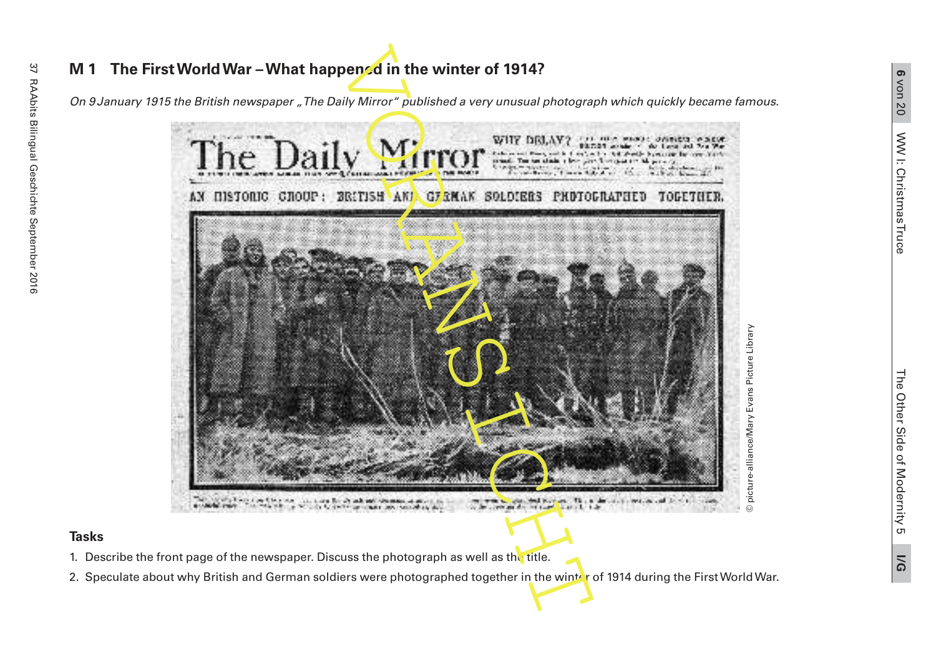

- 1. Describe the front page of the newspaper. Discuss the photograph as well as the title.
- 2. Speculate about why British and German soldiers were photographed together in the winter of 1914 during the First World War.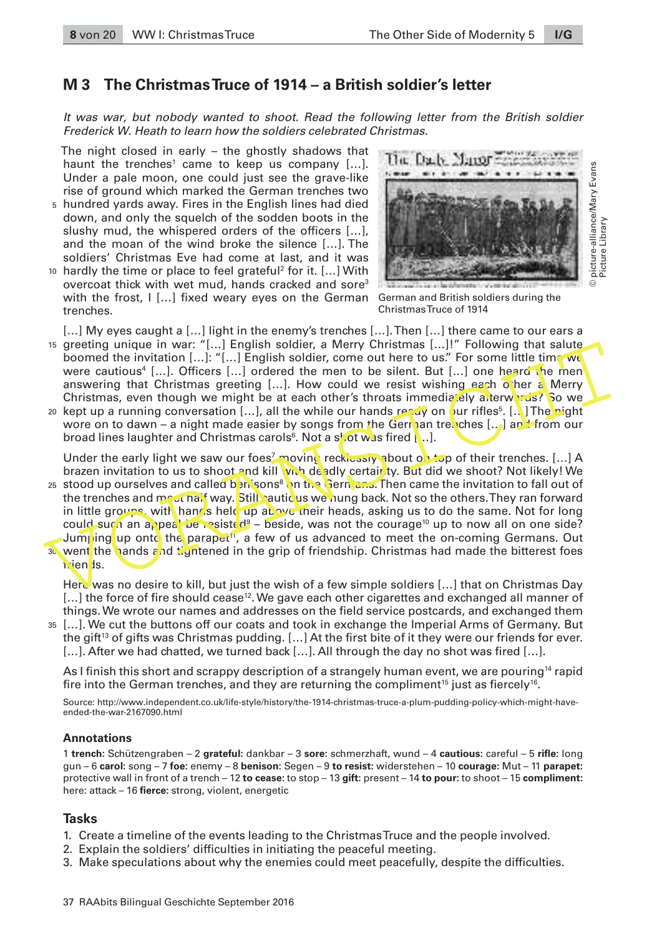# **M 3 The Christmas Truce of 1914 – a British soldier's letter**

It was war, but nobody wanted to shoot. Read the following letter from the British soldier Frederick W. Heath to learn how the soldiers celebrated Christmas.

The night closed in early – the ghostly shadows that haunt the trenches<sup>1</sup> came to keep us company  $[...]$ . Under a pale moon, one could just see the grave-like rise of ground which marked the German trenches two

- 5 hundred yards away. Fires in the English lines had died down, and only the squelch of the sodden boots in the slushy mud, the whispered orders of the officers […], and the moan of the wind broke the silence […]. The soldiers' Christmas Eve had come at last, and it was
- 10 hardly the time or place to feel grateful<sup>2</sup> for it. [...] With overcoat thick with wet mud, hands cracked and sore<sup>3</sup> with the frost, I […] fixed weary eyes on the German German and British soldiers during the trenches.



Christmas Truce of 1914

[...] My eyes caught a [...] light in the enemy's trenches [...]. Then [...] there came to our ears a 15 greeting unique in war: "[...] English soldier, a Merry Christmas [...]!" Following that salute boomed the invitation [...]: "[...] English soldier, come out here to us." For some little time we were cautious<sup>4</sup> […]. Officers […] ordered the men to be silent. But […] one heard the men answering that Christmas greeting [...]. How could we resist wishing each other a Merry Christmas, even though we might be at each other's throats immediately afterwards? So we

20 kept up a running conversation […], all the while our hands ready on our rifles<sup>5</sup>. [..] The pight wore on to dawn – a night made easier by songs from the German tremches [...] and from our broad lines laughter and Christmas carols $^{\rm 6}$ . Not a shot was fired [ ..].

Under the early light we saw our foes<sup>7</sup> movin<mark>g</mark> recklessly about on top of their trenches. […] A brazen invitation to us to shoot and kill with deadly certair ty. But did we shoot? Not likely! We

is greeting unique in war: "[...] English soldier, a Merry Christmas I...]! "Thollowing that salute<br>were cautious<sup>4</sup> [...]. Officers [...] ordered the men to be silent. But [...] one heard the men<br>were cautious<sup>4</sup> [...].  $^{\rm 25}\,$  stood up ourselves and called benisons<sup>8</sup> on the Germans. Then came the invitation to fall out of the trenches and meet half way. Still cauticus we hung back. Not so the others. They ran forward in little groups, with hands held up above their heads, asking us to do the same. Not for long could such an appeal be resisted<sup>9</sup> – beside, was not the courage<sup>10</sup> up to now all on one side? Jumping up onto the parapet<sup>11</sup>, a few of us advanced to meet the on-coming Germans. Out went the hands and tightened in the grip of friendship. Christmas had made the bitterest foes 30 friends.

Here was no desire to kill, but just the wish of a few simple soldiers [...] that on Christmas Day [...] the force of fire should cease<sup>12</sup>. We gave each other cigarettes and exchanged all manner of things. We wrote our names and addresses on the field service postcards, and exchanged them

[...]. We cut the buttons off our coats and took in exchange the Imperial Arms of Germany. But the gift<sup>13</sup> of gifts was Christmas pudding. [...] At the first bite of it they were our friends for ever. [...]. After we had chatted, we turned back [...]. All through the day no shot was fired [...]. 35

As I finish this short and scrappy description of a strangely human event, we are pouring<sup>14</sup> rapid fire into the German trenches, and they are returning the compliment $^{\rm 15}$  just as fiercely $^{\rm 16}$ .

Source: [http://www.independent.co.uk/life-style/history/the-1914-christmas-truce-a-plum-pudding-policy-which-might-have](http://www.independent.co.uk/life-style/history/the-1914-christmas-truce-a-plum-pudding-policy-which-might-have-ended-the-war-2167090.html)[ended-the-war-2167090.html](http://www.independent.co.uk/life-style/history/the-1914-christmas-truce-a-plum-pudding-policy-which-might-have-ended-the-war-2167090.html)

#### **Annotations**

1 **trench:** Schützengraben – 2 **grateful:** dankbar – 3 **sore:** schmerzhaft, wund – 4 **cautious:** careful – 5 **rifle:** long gun – 6 **carol:** song – 7 **foe:** enemy – 8 **benison:** Segen – 9 **to resist:** widerstehen – 10 **courage:** Mut – 11 **parapet:**  protective wall in front of a trench – 12 **to cease:** to stop – 13 **gift:** present – 14 **to pour:** to shoot – 15 **compliment:** here: attack – 16 **fierce:** strong, violent, energetic

- 1. Create a timeline of the events leading to the Christmas Truce and the people involved.
- 2. Explain the soldiers' difficulties in initiating the peaceful meeting.
- 3. Make speculations about why the enemies could meet peacefully, despite the difficulties.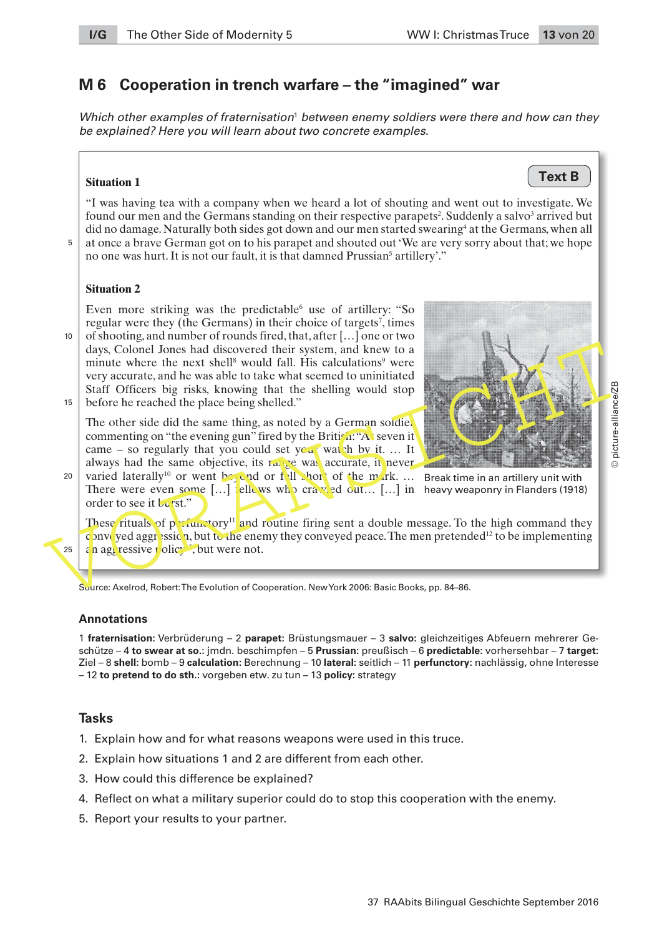**Text B**

© picture-alliance/ZB

# **M 6 Cooperation in trench warfare – the "imagined" war**

Which other examples of fraternisation $^{\scriptscriptstyle 1}$  between enemy soldiers were there and how can they be explained? Here you will learn about two concrete examples.

#### **Situation 1**

"I was having tea with a company when we heard a lot of shouting and went out to investigate. We found our men and the Germans standing on their respective parapets<sup>2</sup>. Suddenly a salvo<sup>3</sup> arrived but did no damage. Naturally both sides got down and our men started swearing<sup>4</sup> at the Germans, when all at once a brave German got on to his parapet and shouted out 'We are very sorry about that; we hope no one was hurt. It is not our fault, it is that damned Prussian<sup>5</sup> artillery'."

 $\overline{5}$ 

10

25

## **Situation 2**

Even more striking was the predictable use of artillery: "So regular were they (the Germans) in their choice of targets<sup>7</sup>, times of shooting, and number of rounds fired, that, after […] one or two

days, Colonel Jones had discovered their system, and knew to a<br>minute where the next shell<sup>®</sup> would fall. His calculations<sup>9</sup> were<br>very accurate, and he was able to take what scenard to uninitiated<br>Staff Officers big risks days, Colonel Jones had discovered their system, and knew to a minute where the next shell<sup>8</sup> would fall. His calculations<sup>9</sup> were very accurate, and he was able to take what seemed to uninitiated Staff Officers big risks, knowing that the shelling would stop before he reached the place being shelled." 15

The other side did the same thing, as noted by a German soldier commenting on "the evening gun" fired by the British: "At seven it" came – so regularly that you could set your watch by it. ... It always had the same objective, its range was accurate, it never

varied laterally<sup>10</sup> or went beyond or foll short of the mark.  $\ldots$  Break time in an artillery unit with There were even some  $[...]$  fellows who crawled out...  $[...]$  in heavy weaponry in Flanders (1918) order to see it burst." 20



These rituals of perfunctory<sup>11</sup> and routine firing sent a double message. To the high command they c nveyed aggression, but to the enemy they conveyed peace. The men pretended<sup>12</sup> to be implementing an aggressive policy<sup>13</sup>, but were not.

Source: Axelrod, Robert: The Evolution of Cooperation. New York 2006: Basic Books, pp. 84–86.

#### **Annotations**

1 **fraternisation:** Verbrüderung – 2 **parapet:** Brüstungsmauer – 3 **salvo:** gleichzeitiges Abfeuern mehrerer Geschütze – 4 **to swear at so.:** jmdn. beschimpfen – 5 **Prussian:** preußisch – 6 **predictable:** vorhersehbar – 7 **target:** Ziel – 8 **shell:** bomb – 9 **calculation:** Berechnung – 10 **lateral:** seitlich – 11 **perfunctory:** nachlässig, ohne Interesse – 12 **to pretend to do sth.:** vorgeben etw. zu tun – 13 **policy:** strategy

- 1. Explain how and for what reasons weapons were used in this truce.
- 2. Explain how situations 1 and 2 are different from each other.
- 3. How could this difference be explained?
- 4. Reflect on what a military superior could do to stop this cooperation with the enemy.
- 5. Report your results to your partner.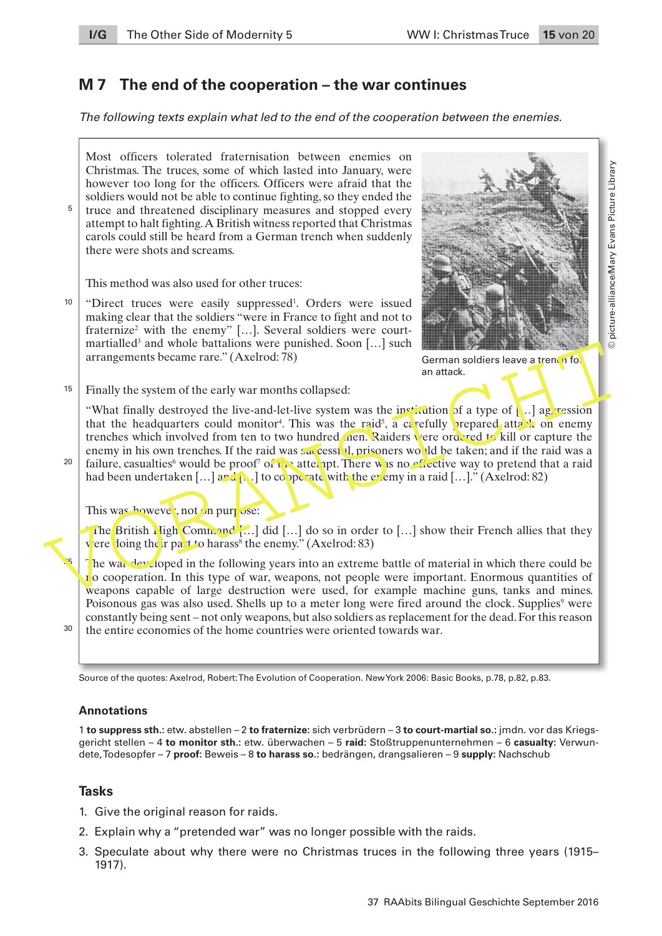# **M 7 The end of the cooperation – the war continues**

*The following texts explain what led to the end of the cooperation between the enemies.* 

Most officers tolerated fraternisation between enemies on Christmas. The truces, some of which lasted into January, were however too long for the officers. Officers were afraid that the soldiers would not be able to continue fighting, so they ended the truce and threatened disciplinary measures and stopped every attempt to halt fighting. A British witness reported that Christmas carols could still be heard from a German trench when suddenly there were shots and screams.  $\overline{5}$ 

This method was also used for other truces:

"Direct truces were easily suppressed<sup>1</sup>. Orders were issued making clear that the soldiers "were in France to fight and not to fraternize<sup>2</sup> with the enemy" [...]. Several soldiers were courtmartialled<sup>3</sup> and whole battalions were punished. Soon [...] such arrangements became rare." (Axelrod: 78)  $10$ 



German soldiers leave a trench for an attack.

Finally the system of the early war months collapsed: 15

martialied and whole battalions were punished. Soon [...] such a contrast are a trenching that the heater are." (Axelrod: 78) and tack.<br>
Tinally the system of the early war months collapsed:<br>
"What finally destroyed the li "What finally destroyed the live-and-let-live system was the institution of a type of  $\left[\ldots\right]$  aggression that the headquarters could monitor<sup>4</sup>. This was the raid<sup>5</sup>, a carefully prepared attack on enemy trenches which involved from ten to two hundred men. Raiders vere ordered to kill or capture the enemy in his own trenches. If the raid was successful, prisoners would be taken; and if the raid was a failure, casualties<sup>6</sup> would be proof<sup>7</sup> of the attempt. There was no effective way to pretend that a raid had been undertaken  $[\dots]$  and  $[\dots]$  to cooperate with the enemy in a raid  $[\dots]$ ." (Axelrod: 82)

This was, howevee, not on purpose:

The British High Command [...] did [...] do so in order to [...] show their French allies that they vere loing their part to harass<sup>8</sup> the enemy." (Axelrod: 83)

The war developed in the following years into an extreme battle of material in which there could be  $\mathbf{r}$  o cooperation. In this type of war, weapons, not people were important. Enormous quantities of weapons capable of large destruction were used, for example machine guns, tanks and mines. Poisonous gas was also used. Shells up to a meter long were fired around the clock. Supplies<sup>9</sup> were constantly being sent – not only weapons, but also soldiers as replacement for the dead. For this reason the entire economies of the home countries were oriented towards war.

30

25

 $20$ 

Source of the quotes: Axelrod, Robert: The Evolution of Cooperation. New York 2006: Basic Books, p.78, p.82, p.83.

# **Annotations**

1 **to suppress sth.:** etw. abstellen – 2 **to fraternize:** sich verbrüdern – 3 **to court-martial so.:** jmdn. vor das Kriegsgericht stellen – 4 **to monitor sth.:** etw. überwachen – 5 **raid:** Stoßtruppenunternehmen – 6 **casualty:** Verwundete, Todesopfer – 7 **proof:** Beweis – 8 **to harass so.:** bedrängen, drangsalieren – 9 **supply:** Nachschub

- 1. Give the original reason for raids.
- 2. Explain why a "pretended war" was no longer possible with the raids.
- 3. Speculate about why there were no Christmas truces in the following three years (1915– 1917).